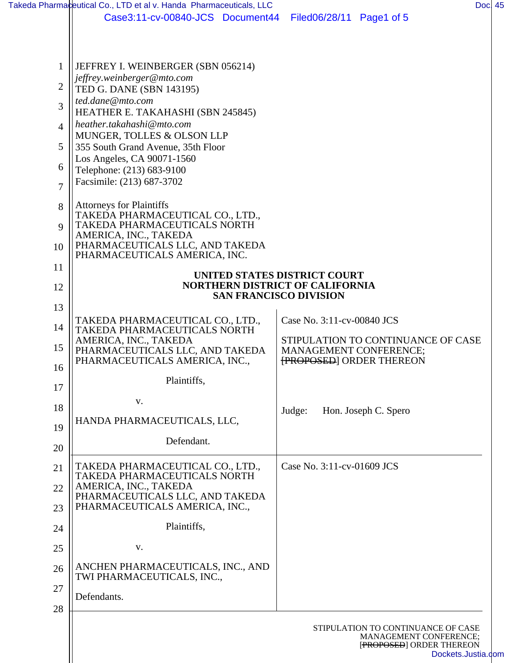|                | Takeda Pharmaceutical Co., LTD et al v. Handa Pharmaceuticals, LLC | Doc 45                                                                 |  |
|----------------|--------------------------------------------------------------------|------------------------------------------------------------------------|--|
|                | Case3:11-cv-00840-JCS Document44                                   | Filed06/28/11 Page1 of 5                                               |  |
|                |                                                                    |                                                                        |  |
|                |                                                                    |                                                                        |  |
| 1              | JEFFREY I. WEINBERGER (SBN 056214)                                 |                                                                        |  |
|                | jeffrey.weinberger@mto.com                                         |                                                                        |  |
| $\overline{2}$ | TED G. DANE (SBN 143195)                                           |                                                                        |  |
| 3              | ted.dane@mto.com<br>HEATHER E. TAKAHASHI (SBN 245845)              |                                                                        |  |
| 4              | heather.takahashi@mto.com                                          |                                                                        |  |
|                | MUNGER, TOLLES & OLSON LLP                                         |                                                                        |  |
| 5              | 355 South Grand Avenue, 35th Floor                                 |                                                                        |  |
| 6              | Los Angeles, CA 90071-1560<br>Telephone: (213) 683-9100            |                                                                        |  |
|                | Facsimile: (213) 687-3702                                          |                                                                        |  |
| $\overline{7}$ |                                                                    |                                                                        |  |
| 8              | <b>Attorneys for Plaintiffs</b>                                    |                                                                        |  |
| 9              | TAKEDA PHARMACEUTICAL CO., LTD.,<br>TAKEDA PHARMACEUTICALS NORTH   |                                                                        |  |
|                | AMERICA, INC., TAKEDA                                              |                                                                        |  |
| 10             | PHARMACEUTICALS LLC, AND TAKEDA<br>PHARMACEUTICALS AMERICA, INC.   |                                                                        |  |
| 11             |                                                                    |                                                                        |  |
| 12             |                                                                    | UNITED STATES DISTRICT COURT<br><b>NORTHERN DISTRICT OF CALIFORNIA</b> |  |
|                |                                                                    | <b>SAN FRANCISCO DIVISION</b>                                          |  |
| 13             |                                                                    |                                                                        |  |
| 14             | TAKEDA PHARMACEUTICAL CO., LTD.,<br>TAKEDA PHARMACEUTICALS NORTH   | Case No. 3:11-cv-00840 JCS                                             |  |
| 15             | AMERICA, INC., TAKEDA                                              | STIPULATION TO CONTINUANCE OF CASE                                     |  |
|                | PHARMACEUTICALS LLC, AND TAKEDA<br>PHARMACEUTICALS AMERICA, INC.,  | MANAGEMENT CONFERENCE;<br><b>FROPOSED</b> ORDER THEREON                |  |
| 16             |                                                                    |                                                                        |  |
| 17             | Plaintiffs,                                                        |                                                                        |  |
| 18             | V.                                                                 |                                                                        |  |
|                | HANDA PHARMACEUTICALS, LLC,                                        | Judge:<br>Hon. Joseph C. Spero                                         |  |
| 19             |                                                                    |                                                                        |  |
| 20             | Defendant.                                                         |                                                                        |  |
| 21             | TAKEDA PHARMACEUTICAL CO., LTD.,                                   | Case No. 3:11-cv-01609 JCS                                             |  |
|                | TAKEDA PHARMACEUTICALS NORTH                                       |                                                                        |  |
| 22             | AMERICA, INC., TAKEDA<br>PHARMACEUTICALS LLC, AND TAKEDA           |                                                                        |  |
| 23             | PHARMACEUTICALS AMERICA, INC.,                                     |                                                                        |  |
|                | Plaintiffs,                                                        |                                                                        |  |
| 24             |                                                                    |                                                                        |  |
| 25             | V.                                                                 |                                                                        |  |
| 26             | ANCHEN PHARMACEUTICALS, INC., AND                                  |                                                                        |  |
|                | TWI PHARMACEUTICALS, INC.,                                         |                                                                        |  |
| 27             | Defendants.                                                        |                                                                        |  |
| 28             |                                                                    |                                                                        |  |
|                |                                                                    | STIPULATION TO CONTINUANCE OF CASE                                     |  |
|                |                                                                    | MANAGEMENT CONFERENCE;<br>[PROPOSED] ORDER THEREON                     |  |
|                |                                                                    | Dockets.Justia.com                                                     |  |

[Dockets.Justia.com](http://dockets.justia.com/)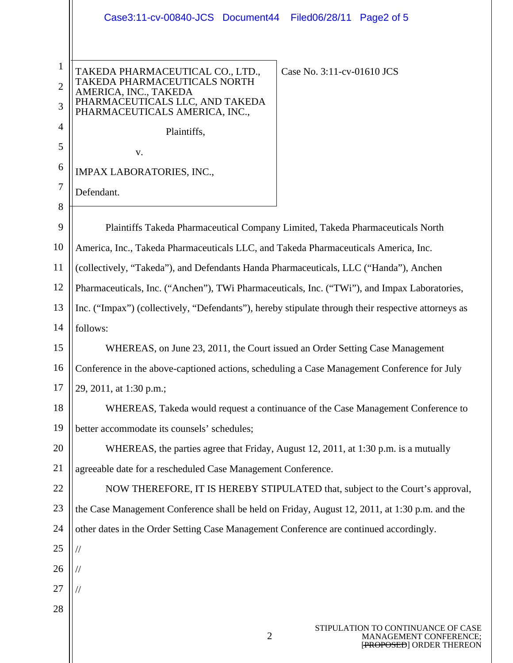|                                          | Case3:11-cv-00840-JCS Document44 Filed06/28/11 Page2 of 5                                                                                                                                    |  |  |
|------------------------------------------|----------------------------------------------------------------------------------------------------------------------------------------------------------------------------------------------|--|--|
| $\mathbf{1}$<br>$\overline{2}$<br>3<br>4 | TAKEDA PHARMACEUTICAL CO., LTD.,<br>Case No. 3:11-cv-01610 JCS<br>TAKEDA PHARMACEUTICALS NORTH<br>AMERICA, INC., TAKEDA<br>PHARMACEUTICALS LLC, AND TAKEDA<br>PHARMACEUTICALS AMERICA, INC., |  |  |
|                                          | Plaintiffs,                                                                                                                                                                                  |  |  |
| 5                                        | v.                                                                                                                                                                                           |  |  |
| 6                                        | <b>IMPAX LABORATORIES, INC.,</b>                                                                                                                                                             |  |  |
| 7                                        | Defendant.                                                                                                                                                                                   |  |  |
| 8<br>9                                   | Plaintiffs Takeda Pharmaceutical Company Limited, Takeda Pharmaceuticals North                                                                                                               |  |  |
| 10                                       | America, Inc., Takeda Pharmaceuticals LLC, and Takeda Pharmaceuticals America, Inc.                                                                                                          |  |  |
| 11                                       | (collectively, "Takeda"), and Defendants Handa Pharmaceuticals, LLC ("Handa"), Anchen                                                                                                        |  |  |
| 12                                       | Pharmaceuticals, Inc. ("Anchen"), TWi Pharmaceuticals, Inc. ("TWi"), and Impax Laboratories,                                                                                                 |  |  |
| 13                                       | Inc. ("Impax") (collectively, "Defendants"), hereby stipulate through their respective attorneys as                                                                                          |  |  |
| 14                                       | follows:                                                                                                                                                                                     |  |  |
| 15                                       | WHEREAS, on June 23, 2011, the Court issued an Order Setting Case Management                                                                                                                 |  |  |
| 16                                       | Conference in the above-captioned actions, scheduling a Case Management Conference for July                                                                                                  |  |  |
| 17                                       | 29, 2011, at 1:30 p.m.;                                                                                                                                                                      |  |  |
| 18                                       | WHEREAS, Takeda would request a continuance of the Case Management Conference to                                                                                                             |  |  |
| 19                                       | better accommodate its counsels' schedules;                                                                                                                                                  |  |  |
| 20                                       | WHEREAS, the parties agree that Friday, August 12, 2011, at 1:30 p.m. is a mutually                                                                                                          |  |  |
| 21                                       | agreeable date for a rescheduled Case Management Conference.                                                                                                                                 |  |  |
| 22                                       | NOW THEREFORE, IT IS HEREBY STIPULATED that, subject to the Court's approval,                                                                                                                |  |  |
| 23                                       | the Case Management Conference shall be held on Friday, August 12, 2011, at 1:30 p.m. and the                                                                                                |  |  |
| 24                                       | other dates in the Order Setting Case Management Conference are continued accordingly.                                                                                                       |  |  |
| 25                                       | $\frac{1}{2}$                                                                                                                                                                                |  |  |
| 26                                       |                                                                                                                                                                                              |  |  |
| 27                                       |                                                                                                                                                                                              |  |  |
| 28                                       |                                                                                                                                                                                              |  |  |
|                                          | STIPULATION TO CONTINUANCE OF CASE                                                                                                                                                           |  |  |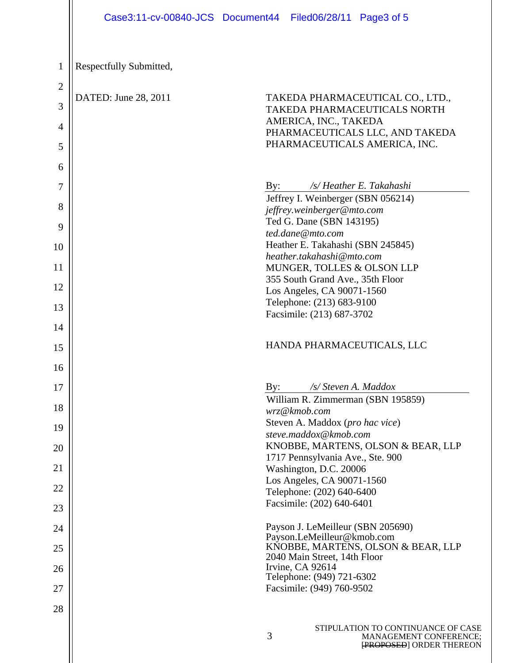| TAKEDA PHARMACEUTICAL CO., LTD.,<br>TAKEDA PHARMACEUTICALS NORTH<br>AMERICA, INC., TAKEDA<br>PHARMACEUTICALS LLC, AND TAKEDA<br>PHARMACEUTICALS AMERICA, INC.                                                                                                                                                         |
|-----------------------------------------------------------------------------------------------------------------------------------------------------------------------------------------------------------------------------------------------------------------------------------------------------------------------|
| /s/ Heather E. Takahashi<br>By:<br>Jeffrey I. Weinberger (SBN 056214)<br>jeffrey.weinberger@mto.com<br>Ted G. Dane (SBN 143195)<br>ted.dane@mto.com<br>Heather E. Takahashi (SBN 245845)<br>heather.takahashi@mto.com<br>MUNGER, TOLLES & OLSON LLP<br>355 South Grand Ave., 35th Floor<br>Los Angeles, CA 90071-1560 |
| Telephone: (213) 683-9100<br>Facsimile: (213) 687-3702<br>HANDA PHARMACEUTICALS, LLC<br>/s/ Steven A. Maddox<br>$\mathbf{By:}$                                                                                                                                                                                        |
| William R. Zimmerman (SBN 195859)<br>wrz@kmob.com<br>Steven A. Maddox (pro hac vice)<br>steve.maddox@kmob.com<br>KNOBBE, MARTENS, OLSON & BEAR, LLP<br>1717 Pennsylvania Ave., Ste. 900<br>Washington, D.C. 20006<br>Los Angeles, CA 90071-1560<br>Telephone: (202) 640-6400<br>Facsimile: (202) 640-6401             |
| Payson J. LeMeilleur (SBN 205690)<br>Payson.LeMeilleur@kmob.com<br>KNOBBE, MARTENS, OLSON & BEAR, LLP<br>2040 Main Street, 14th Floor<br>Irvine, CA 92614<br>Telephone: (949) 721-6302<br>Facsimile: (949) 760-9502                                                                                                   |
|                                                                                                                                                                                                                                                                                                                       |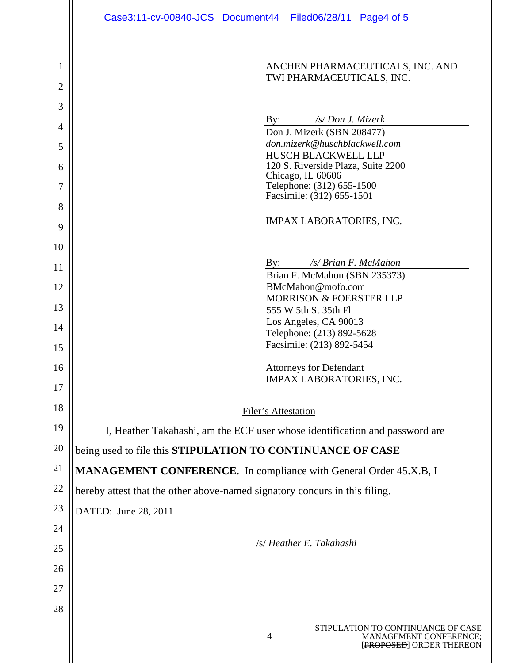|                     | Case3:11-cv-00840-JCS Document44 Filed06/28/11 Page4 of 5                                                  |  |
|---------------------|------------------------------------------------------------------------------------------------------------|--|
| 1<br>$\overline{2}$ | ANCHEN PHARMACEUTICALS, INC. AND<br>TWI PHARMACEUTICALS, INC.                                              |  |
| 3                   |                                                                                                            |  |
| 4                   | /s/ Don J. Mizerk<br>By:<br>Don J. Mizerk (SBN 208477)                                                     |  |
| 5                   | don.mizerk@huschblackwell.com                                                                              |  |
| 6                   | <b>HUSCH BLACKWELL LLP</b><br>120 S. Riverside Plaza, Suite 2200                                           |  |
| 7                   | Chicago, IL 60606<br>Telephone: (312) 655-1500                                                             |  |
| 8                   | Facsimile: (312) 655-1501                                                                                  |  |
|                     | <b>IMPAX LABORATORIES, INC.</b>                                                                            |  |
| 9                   |                                                                                                            |  |
| 10                  | /s/ Brian F. McMahon<br>By:                                                                                |  |
| 11                  | Brian F. McMahon (SBN 235373)                                                                              |  |
| 12                  | BMcMahon@mofo.com<br><b>MORRISON &amp; FOERSTER LLP</b>                                                    |  |
| 13                  | 555 W 5th St 35th Fl                                                                                       |  |
| 14                  | Los Angeles, CA 90013<br>Telephone: (213) 892-5628                                                         |  |
| 15                  | Facsimile: (213) 892-5454                                                                                  |  |
| 16                  | <b>Attorneys for Defendant</b>                                                                             |  |
| 17                  | IMPAX LABORATORIES, INC.                                                                                   |  |
| 18                  |                                                                                                            |  |
| 19                  | <b>Filer's Attestation</b>                                                                                 |  |
| 20                  | I, Heather Takahashi, am the ECF user whose identification and password are                                |  |
|                     | being used to file this STIPULATION TO CONTINUANCE OF CASE                                                 |  |
| 21                  | MANAGEMENT CONFERENCE. In compliance with General Order 45.X.B, I                                          |  |
| 22                  | hereby attest that the other above-named signatory concurs in this filing.                                 |  |
| 23                  | DATED: June 28, 2011                                                                                       |  |
| 24                  |                                                                                                            |  |
| 25                  | /s/ Heather E. Takahashi                                                                                   |  |
| 26                  |                                                                                                            |  |
| 27                  |                                                                                                            |  |
| 28                  |                                                                                                            |  |
|                     | STIPULATION TO CONTINUANCE OF CASE<br>$\overline{4}$<br>MANAGEMENT CONFERENCE;<br>[PROPOSED] ORDER THEREON |  |